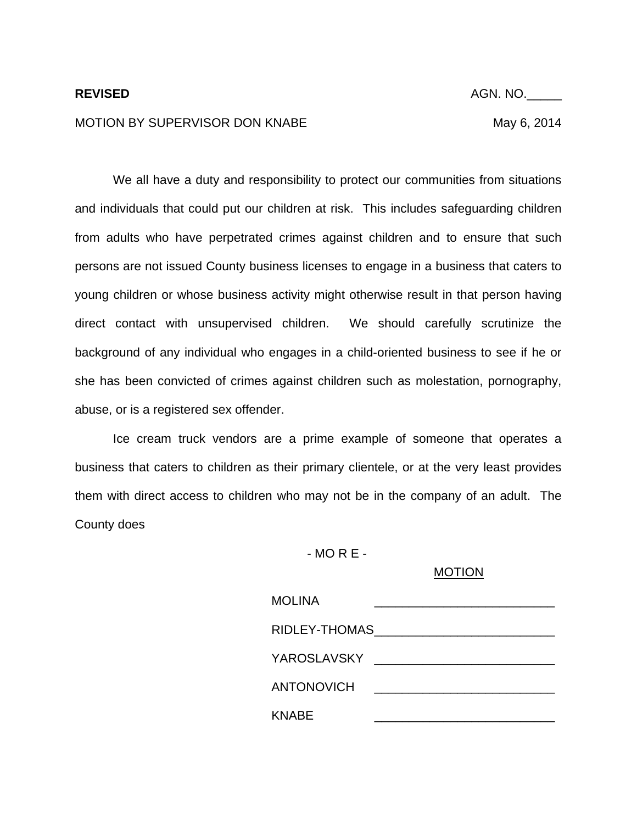## MOTION BY SUPERVISOR DON KNABE MAY 6, 2014

**REVISED** AGN. NO.

 We all have a duty and responsibility to protect our communities from situations and individuals that could put our children at risk. This includes safeguarding children from adults who have perpetrated crimes against children and to ensure that such persons are not issued County business licenses to engage in a business that caters to young children or whose business activity might otherwise result in that person having direct contact with unsupervised children. We should carefully scrutinize the background of any individual who engages in a child-oriented business to see if he or she has been convicted of crimes against children such as molestation, pornography, abuse, or is a registered sex offender.

 Ice cream truck vendors are a prime example of someone that operates a business that caters to children as their primary clientele, or at the very least provides them with direct access to children who may not be in the company of an adult. The County does

- MO R E -

MOTION

| <b>MOLINA</b>                                                                                                  |
|----------------------------------------------------------------------------------------------------------------|
| RIDLEY-THOMAS NORTH AND ANNUAL MELTIC AND A STATE AND THE RESERVE THAT A STATE AND THE RESERVE THAT A STATE OF |
| YAROSLAVSKY ____________________________                                                                       |
| <b>ANTONOVICH</b><br><u> 1980 - Andrea Andrew Maria (h. 1980).</u>                                             |
| <b>KNABE</b>                                                                                                   |